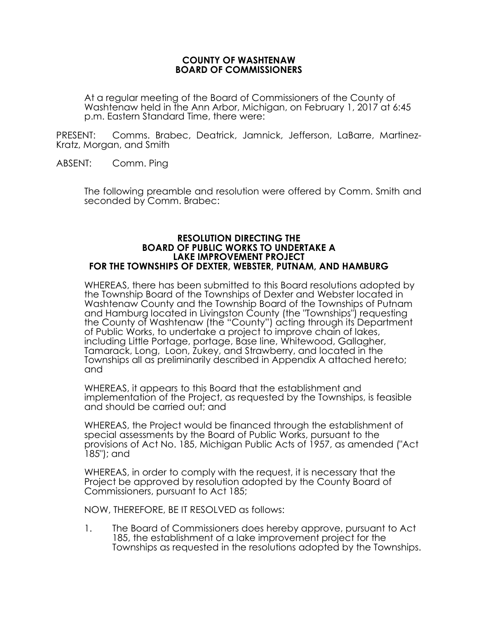### **COUNTY OF WASHTENAW BOARD OF COMMISSIONERS**

At a regular meeting of the Board of Commissioners of the County of Washtenaw held in the Ann Arbor, Michigan, on February 1, 2017 at 6:45 p.m. Eastern Standard Time, there were:

PRESENT: Comms. Brabec, Deatrick, Jamnick, Jefferson, LaBarre, Martinez-Kratz, Morgan, and Smith

ABSENT: Comm. Ping

The following preamble and resolution were offered by Comm. Smith and seconded by Comm. Brabec:

### **RESOLUTION DIRECTING THE BOARD OF PUBLIC WORKS TO UNDERTAKE A LAKE IMPROVEMENT PROJECT FOR THE TOWNSHIPS OF DEXTER, WEBSTER, PUTNAM, AND HAMBURG**

WHEREAS, there has been submitted to this Board resolutions adopted by the Township Board of the Townships of Dexter and Webster located in Washtenaw County and the Township Board of the Townships of Putnam and Hamburg located in Livingston County (the "Townships") requesting the County of Washtenaw (the "County") acting through its Department of Public Works, to undertake a project to improve chain of lakes, including Little Portage, portage, Base line, Whitewood, Gallagher, Tamarack, Long, Loon, Zukey, and Strawberry, and located in the Townships all as preliminarily described in Appendix A attached hereto; and

WHEREAS, it appears to this Board that the establishment and implementation of the Project, as requested by the Townships, is feasible and should be carried out; and

WHEREAS, the Project would be financed through the establishment of special assessments by the Board of Public Works, pursuant to the provisions of Act No. 185, Michigan Public Acts of 1957, as amended ("Act 185"); and

WHEREAS, in order to comply with the request, it is necessary that the Project be approved by resolution adopted by the County Board of Commissioners, pursuant to Act 185;

NOW, THEREFORE, BE IT RESOLVED as follows:

1. The Board of Commissioners does hereby approve, pursuant to Act 185, the establishment of a lake improvement project for the Townships as requested in the resolutions adopted by the Townships.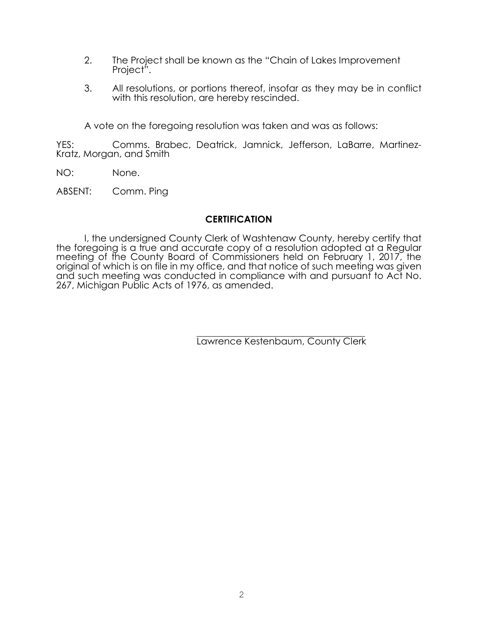- 2. The Project shall be known as the "Chain of Lakes Improvement Project<sup>"</sup>.
- 3. All resolutions, or portions thereof, insofar as they may be in conflict with this resolution, are hereby rescinded.

A vote on the foregoing resolution was taken and was as follows:

YES: Comms. Brabec, Deatrick, Jamnick, Jefferson, LaBarre, Martinez-Kratz, Morgan, and Smith

- NO: None.
- ABSENT: Comm. Ping

## **CERTIFICATION**

I, the undersigned County Clerk of Washtenaw County, hereby certify that the foregoing is a true and accurate copy of a resolution adopted at a Regular meeting of the County Board of Commissioners held on February 1, 2017, the original of which is on file in my office, and that notice of such meeting was given and such meeting was conducted in compliance with and pursuant to Act No. 267, Michigan Public Acts of 1976, as amended.

Lawrence Kestenbaum, County Clerk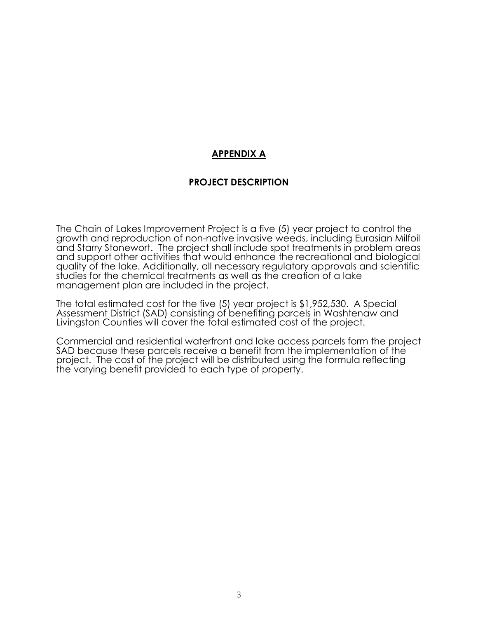# **APPENDIX A**

## **PROJECT DESCRIPTION**

The Chain of Lakes Improvement Project is a five (5) year project to control the growth and reproduction of non-native invasive weeds, including Eurasian Milfoil and Starry Stonewort. The project shall include spot treatments in problem areas and support other activities that would enhance the recreational and biological quality of the lake. Additionally, all necessary regulatory approvals and scientific studies for the chemical treatments as well as the creation of a lake management plan are included in the project.

The total estimated cost for the five (5) year project is \$1,952,530. A Special Assessment District (SAD) consisting of benefiting parcels in Washtenaw and Livingston Counties will cover the total estimated cost of the project.

Commercial and residential waterfront and lake access parcels form the project SAD because these parcels receive a benefit from the implementation of the project. The cost of the project will be distributed using the formula reflecting the varying benefit provided to each type of property.